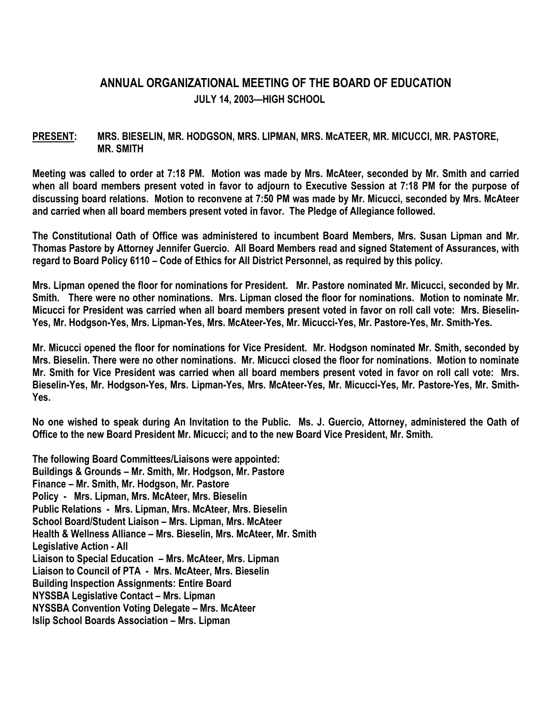## **ANNUAL ORGANIZATIONAL MEETING OF THE BOARD OF EDUCATION JULY 14, 2003—HIGH SCHOOL**

## **PRESENT: MRS. BIESELIN, MR. HODGSON, MRS. LIPMAN, MRS. McATEER, MR. MICUCCI, MR. PASTORE, MR. SMITH**

**Meeting was called to order at 7:18 PM. Motion was made by Mrs. McAteer, seconded by Mr. Smith and carried when all board members present voted in favor to adjourn to Executive Session at 7:18 PM for the purpose of discussing board relations. Motion to reconvene at 7:50 PM was made by Mr. Micucci, seconded by Mrs. McAteer and carried when all board members present voted in favor. The Pledge of Allegiance followed.** 

**The Constitutional Oath of Office was administered to incumbent Board Members, Mrs. Susan Lipman and Mr. Thomas Pastore by Attorney Jennifer Guercio. All Board Members read and signed Statement of Assurances, with regard to Board Policy 6110 – Code of Ethics for All District Personnel, as required by this policy.** 

**Mrs. Lipman opened the floor for nominations for President. Mr. Pastore nominated Mr. Micucci, seconded by Mr. Smith. There were no other nominations. Mrs. Lipman closed the floor for nominations. Motion to nominate Mr. Micucci for President was carried when all board members present voted in favor on roll call vote: Mrs. Bieselin-Yes, Mr. Hodgson-Yes, Mrs. Lipman-Yes, Mrs. McAteer-Yes, Mr. Micucci-Yes, Mr. Pastore-Yes, Mr. Smith-Yes.** 

**Mr. Micucci opened the floor for nominations for Vice President. Mr. Hodgson nominated Mr. Smith, seconded by Mrs. Bieselin. There were no other nominations. Mr. Micucci closed the floor for nominations. Motion to nominate Mr. Smith for Vice President was carried when all board members present voted in favor on roll call vote: Mrs. Bieselin-Yes, Mr. Hodgson-Yes, Mrs. Lipman-Yes, Mrs. McAteer-Yes, Mr. Micucci-Yes, Mr. Pastore-Yes, Mr. Smith-Yes.** 

**No one wished to speak during An Invitation to the Public. Ms. J. Guercio, Attorney, administered the Oath of Office to the new Board President Mr. Micucci; and to the new Board Vice President, Mr. Smith.** 

**The following Board Committees/Liaisons were appointed: Buildings & Grounds – Mr. Smith, Mr. Hodgson, Mr. Pastore Finance – Mr. Smith, Mr. Hodgson, Mr. Pastore Policy - Mrs. Lipman, Mrs. McAteer, Mrs. Bieselin Public Relations - Mrs. Lipman, Mrs. McAteer, Mrs. Bieselin School Board/Student Liaison – Mrs. Lipman, Mrs. McAteer Health & Wellness Alliance – Mrs. Bieselin, Mrs. McAteer, Mr. Smith Legislative Action - All Liaison to Special Education – Mrs. McAteer, Mrs. Lipman Liaison to Council of PTA - Mrs. McAteer, Mrs. Bieselin Building Inspection Assignments: Entire Board NYSSBA Legislative Contact – Mrs. Lipman NYSSBA Convention Voting Delegate – Mrs. McAteer Islip School Boards Association – Mrs. Lipman**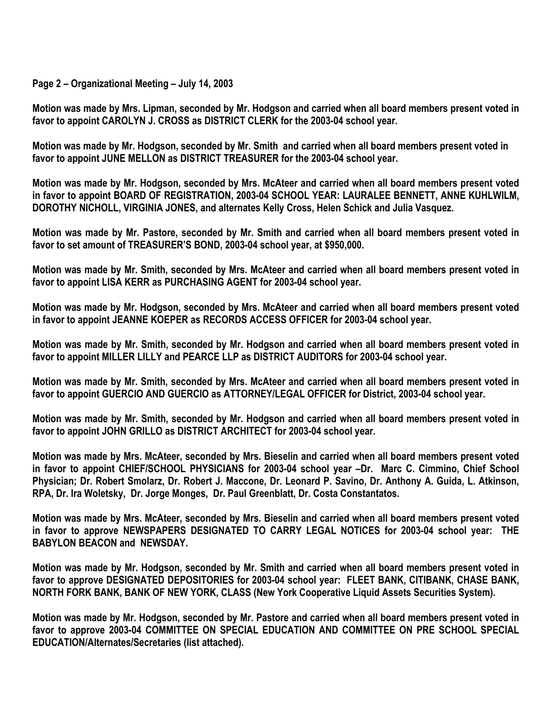## **Page 2 – Organizational Meeting – July 14, 2003**

**Motion was made by Mrs. Lipman, seconded by Mr. Hodgson and carried when all board members present voted in favor to appoint CAROLYN J. CROSS as DISTRICT CLERK for the 2003-04 school year.** 

**Motion was made by Mr. Hodgson, seconded by Mr. Smith and carried when all board members present voted in favor to appoint JUNE MELLON as DISTRICT TREASURER for the 2003-04 school year.** 

**Motion was made by Mr. Hodgson, seconded by Mrs. McAteer and carried when all board members present voted in favor to appoint BOARD OF REGISTRATION, 2003-04 SCHOOL YEAR: LAURALEE BENNETT, ANNE KUHLWILM, DOROTHY NICHOLL, VIRGINIA JONES, and alternates Kelly Cross, Helen Schick and Julia Vasquez.** 

**Motion was made by Mr. Pastore, seconded by Mr. Smith and carried when all board members present voted in favor to set amount of TREASURER'S BOND, 2003-04 school year, at \$950,000.** 

**Motion was made by Mr. Smith, seconded by Mrs. McAteer and carried when all board members present voted in favor to appoint LISA KERR as PURCHASING AGENT for 2003-04 school year.** 

**Motion was made by Mr. Hodgson, seconded by Mrs. McAteer and carried when all board members present voted in favor to appoint JEANNE KOEPER as RECORDS ACCESS OFFICER for 2003-04 school year.** 

**Motion was made by Mr. Smith, seconded by Mr. Hodgson and carried when all board members present voted in favor to appoint MILLER LILLY and PEARCE LLP as DISTRICT AUDITORS for 2003-04 school year.** 

**Motion was made by Mr. Smith, seconded by Mrs. McAteer and carried when all board members present voted in favor to appoint GUERCIO AND GUERCIO as ATTORNEY/LEGAL OFFICER for District, 2003-04 school year.** 

**Motion was made by Mr. Smith, seconded by Mr. Hodgson and carried when all board members present voted in favor to appoint JOHN GRILLO as DISTRICT ARCHITECT for 2003-04 school year.** 

**Motion was made by Mrs. McAteer, seconded by Mrs. Bieselin and carried when all board members present voted in favor to appoint CHIEF/SCHOOL PHYSICIANS for 2003-04 school year –Dr. Marc C. Cimmino, Chief School Physician; Dr. Robert Smolarz, Dr. Robert J. Maccone, Dr. Leonard P. Savino, Dr. Anthony A. Guida, L. Atkinson, RPA, Dr. Ira Woletsky, Dr. Jorge Monges, Dr. Paul Greenblatt, Dr. Costa Constantatos.** 

**Motion was made by Mrs. McAteer, seconded by Mrs. Bieselin and carried when all board members present voted in favor to approve NEWSPAPERS DESIGNATED TO CARRY LEGAL NOTICES for 2003-04 school year: THE BABYLON BEACON and NEWSDAY.** 

**Motion was made by Mr. Hodgson, seconded by Mr. Smith and carried when all board members present voted in favor to approve DESIGNATED DEPOSITORIES for 2003-04 school year: FLEET BANK, CITIBANK, CHASE BANK, NORTH FORK BANK, BANK OF NEW YORK, CLASS (New York Cooperative Liquid Assets Securities System).** 

**Motion was made by Mr. Hodgson, seconded by Mr. Pastore and carried when all board members present voted in favor to approve 2003-04 COMMITTEE ON SPECIAL EDUCATION AND COMMITTEE ON PRE SCHOOL SPECIAL EDUCATION/Alternates/Secretaries (list attached).**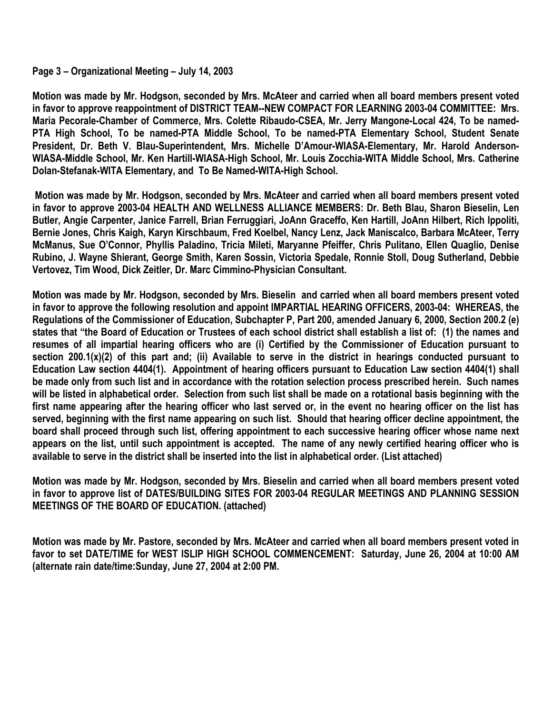## **Page 3 – Organizational Meeting – July 14, 2003**

**Motion was made by Mr. Hodgson, seconded by Mrs. McAteer and carried when all board members present voted in favor to approve reappointment of DISTRICT TEAM--NEW COMPACT FOR LEARNING 2003-04 COMMITTEE: Mrs. Maria Pecorale-Chamber of Commerce, Mrs. Colette Ribaudo-CSEA, Mr. Jerry Mangone-Local 424, To be named-PTA High School, To be named-PTA Middle School, To be named-PTA Elementary School, Student Senate President, Dr. Beth V. Blau-Superintendent, Mrs. Michelle D'Amour-WIASA-Elementary, Mr. Harold Anderson-WIASA-Middle School, Mr. Ken Hartill-WIASA-High School, Mr. Louis Zocchia-WITA Middle School, Mrs. Catherine Dolan-Stefanak-WITA Elementary, and To Be Named-WITA-High School.** 

 **Motion was made by Mr. Hodgson, seconded by Mrs. McAteer and carried when all board members present voted in favor to approve 2003-04 HEALTH AND WELLNESS ALLIANCE MEMBERS: Dr. Beth Blau, Sharon Bieselin, Len Butler, Angie Carpenter, Janice Farrell, Brian Ferruggiari, JoAnn Graceffo, Ken Hartill, JoAnn Hilbert, Rich Ippoliti, Bernie Jones, Chris Kaigh, Karyn Kirschbaum, Fred Koelbel, Nancy Lenz, Jack Maniscalco, Barbara McAteer, Terry McManus, Sue O'Connor, Phyllis Paladino, Tricia Mileti, Maryanne Pfeiffer, Chris Pulitano, Ellen Quaglio, Denise Rubino, J. Wayne Shierant, George Smith, Karen Sossin, Victoria Spedale, Ronnie Stoll, Doug Sutherland, Debbie Vertovez, Tim Wood, Dick Zeitler, Dr. Marc Cimmino-Physician Consultant.** 

**Motion was made by Mr. Hodgson, seconded by Mrs. Bieselin and carried when all board members present voted in favor to approve the following resolution and appoint IMPARTIAL HEARING OFFICERS, 2003-04: WHEREAS, the Regulations of the Commissioner of Education, Subchapter P, Part 200, amended January 6, 2000, Section 200.2 (e) states that "the Board of Education or Trustees of each school district shall establish a list of: (1) the names and resumes of all impartial hearing officers who are (i) Certified by the Commissioner of Education pursuant to section 200.1(x)(2) of this part and; (ii) Available to serve in the district in hearings conducted pursuant to Education Law section 4404(1). Appointment of hearing officers pursuant to Education Law section 4404(1) shall be made only from such list and in accordance with the rotation selection process prescribed herein. Such names will be listed in alphabetical order. Selection from such list shall be made on a rotational basis beginning with the first name appearing after the hearing officer who last served or, in the event no hearing officer on the list has served, beginning with the first name appearing on such list. Should that hearing officer decline appointment, the board shall proceed through such list, offering appointment to each successive hearing officer whose name next appears on the list, until such appointment is accepted. The name of any newly certified hearing officer who is available to serve in the district shall be inserted into the list in alphabetical order. (List attached)** 

**Motion was made by Mr. Hodgson, seconded by Mrs. Bieselin and carried when all board members present voted in favor to approve list of DATES/BUILDING SITES FOR 2003-04 REGULAR MEETINGS AND PLANNING SESSION MEETINGS OF THE BOARD OF EDUCATION. (attached)** 

**Motion was made by Mr. Pastore, seconded by Mrs. McAteer and carried when all board members present voted in favor to set DATE/TIME for WEST ISLIP HIGH SCHOOL COMMENCEMENT: Saturday, June 26, 2004 at 10:00 AM (alternate rain date/time:Sunday, June 27, 2004 at 2:00 PM.**